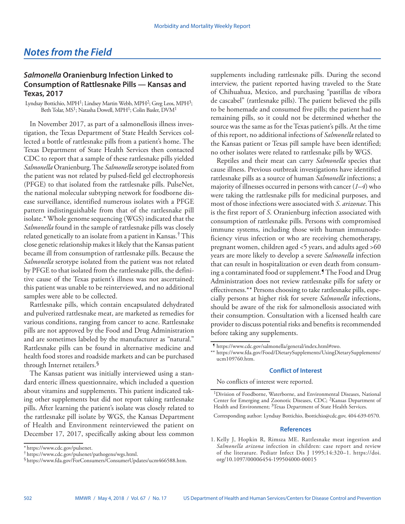## *Notes from the Field*

## *Salmonella* **Oranienburg Infection Linked to Consumption of Rattlesnake Pills — Kansas and Texas, 2017**

Lyndsay Bottichio, MPH1; Lindsey Martin Webb, MPH2; Greg Leos, MPH3; Beth Tolar, MS1; Natasha Dowell, MPH1; Colin Basler, DVM1

In November 2017, as part of a salmonellosis illness investigation, the Texas Department of State Health Services collected a bottle of rattlesnake pills from a patient's home. The Texas Department of State Health Services then contacted CDC to report that a sample of these rattlesnake pills yielded *Salmonella* Oranienburg. The *Salmonella* serotype isolated from the patient was not related by pulsed-field gel electrophoresis (PFGE) to that isolated from the rattlesnake pills. PulseNet, the national molecular subtyping network for foodborne disease surveillance, identified numerous isolates with a PFGE pattern indistinguishable from that of the rattlesnake pill isolate.\* Whole genome sequencing (WGS) indicated that the *Salmonella* found in the sample of rattlesnake pills was closely related genetically to an isolate from a patient in Kansas.<sup>†</sup> This close genetic relationship makes it likely that the Kansas patient became ill from consumption of rattlesnake pills. Because the *Salmonella* serotype isolated from the patient was not related by PFGE to that isolated from the rattlesnake pills, the definitive cause of the Texas patient's illness was not ascertained; this patient was unable to be reinterviewed, and no additional samples were able to be collected.

Rattlesnake pills, which contain encapsulated dehydrated and pulverized rattlesnake meat, are marketed as remedies for various conditions, ranging from cancer to acne. Rattlesnake pills are not approved by the Food and Drug Administration and are sometimes labeled by the manufacturer as "natural." Rattlesnake pills can be found in alternative medicine and health food stores and roadside markets and can be purchased through Internet retailers.§

The Kansas patient was initially interviewed using a standard enteric illness questionnaire, which included a question about vitamins and supplements. This patient indicated taking other supplements but did not report taking rattlesnake pills. After learning the patient's isolate was closely related to the rattlesnake pill isolate by WGS, the Kansas Department of Health and Environment reinterviewed the patient on December 17, 2017, specifically asking about less common supplements including rattlesnake pills. During the second interview, the patient reported having traveled to the State of Chihuahua, Mexico, and purchasing "pastillas de víbora de cascabel" (rattlesnake pills). The patient believed the pills to be homemade and consumed five pills; the patient had no remaining pills, so it could not be determined whether the source was the same as for the Texas patient's pills. At the time of this report, no additional infections of *Salmonella* related to the Kansas patient or Texas pill sample have been identified; no other isolates were related to rattlesnake pills by WGS.

Reptiles and their meat can carry *Salmonella* species that cause illness. Previous outbreak investigations have identified rattlesnake pills as a source of human *Salmonella* infections; a majority of illnesses occurred in persons with cancer (*1*–*4*) who were taking the rattlesnake pills for medicinal purposes, and most of those infections were associated with *S*. *arizonae*. This is the first report of *S*. Oranienburg infection associated with consumption of rattlesnake pills. Persons with compromised immune systems, including those with human immunodeficiency virus infection or who are receiving chemotherapy, pregnant women, children aged <5 years, and adults aged >60 years are more likely to develop a severe *Salmonella* infection that can result in hospitalization or even death from consuming a contaminated food or supplement.¶ The Food and Drug Administration does not review rattlesnake pills for safety or effectiveness.\*\* Persons choosing to take rattlesnake pills, especially persons at higher risk for severe *Salmonella* infections, should be aware of the risk for salmonellosis associated with their consumption. Consultation with a licensed health care provider to discuss potential risks and benefits is recommended before taking any supplements.

## **Conflict of Interest**

No conflicts of interest were reported.

Corresponding author: Lyndsay Bottichio, [lbottichio@cdc.gov,](mailto:lbottichio@cdc.gov) 404-639-0570.

## **References**

1. Kelly J, Hopkin R, Rimsza ME. Rattlesnake meat ingestion and *Salmonella arizona* infection in children: case report and review of the literature. Pediatr Infect Dis J 1995;14:320–1. [https://doi.](https://doi.org/10.1097/00006454-199504000-00015) [org/10.1097/00006454-199504000-00015](https://doi.org/10.1097/00006454-199504000-00015)

<sup>\*</sup> [https://www.cdc.gov/pulsenet.](https://www.cdc.gov/pulsenet) † [https://www.cdc.gov/pulsenet/pathogens/wgs.html.](https://www.cdc.gov/pulsenet/pathogens/wgs.html) §[https://www.fda.gov/ForConsumers/ConsumerUpdates/ucm466588.htm.](https://www.fda.gov/ForConsumers/ConsumerUpdates/ucm466588.htm)

<sup>¶</sup> <https://www.cdc.gov/salmonella/general/index.html#two>.

<sup>\*\*</sup> [https://www.fda.gov/Food/DietarySupplements/UsingDietarySupplements/](https://www.fda.gov/Food/DietarySupplements/UsingDietarySupplements/ucm109760.htm) [ucm109760.htm](https://www.fda.gov/Food/DietarySupplements/UsingDietarySupplements/ucm109760.htm).

<sup>1</sup>Division of Foodborne, Waterborne, and Environmental Diseases, National Center for Emerging and Zoonotic Diseases, CDC; 2Kansas Department of Health and Environment; <sup>3</sup>Texas Department of State Health Services.